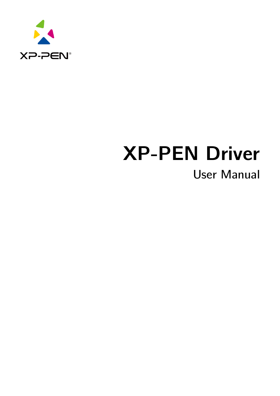

# **XP-PEN Driver**

# User Manual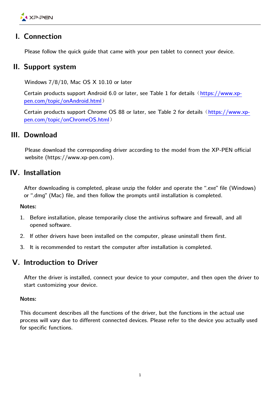

# **I. Connection**

Please follow the quick guide that came with your pen tablet to connect your device.

# **II. Support system**

Windows 7/8/10, Mac OS X 10.10 or later

Certain products support Android 6.0 or later, see Table 1 for details ([https://www.xp](https://www.xp-pen.com/topic/onAndroid.html)[pen.com/topic/onAndroid.html](https://www.xp-pen.com/topic/onAndroid.html))

Certain products support Chrome OS 88 or later, see Table 2 for details ([https://www.xp](https://www.xp-pen.com/topic/onChromeOS.html)[pen.com/topic/onChromeOS.html](https://www.xp-pen.com/topic/onChromeOS.html))

# **III. Download**

Please download the corresponding driver according to the model from the XP-PEN official website (https://www.xp-pen.com).

# **IV. Installation**

After downloading is completed, please unzip the folder and operate the ".exe" file (Windows) or ".dmg" (Mac) file, and then follow the prompts until installation is completed.

#### **Notes:**

- 1. Before installation, please temporarily close the antivirus software and firewall, and all opened software.
- 2. If other drivers have been installed on the computer, please uninstall them first.
- 3. It is recommended to restart the computer after installation is completed.

# **V. Introduction to Driver**

After the driver is installed, connect your device to your computer, and then open the driver to start customizing your device.

#### **Notes:**

This document describes all the functions of the driver, but the functions in the actual use process will vary due to different connected devices. Please refer to the device you actually used for specific functions.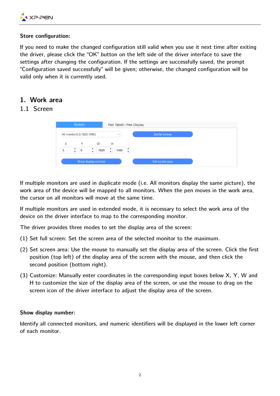

#### **Store configuration:**

If you need to make the changed configuration still valid when you use it next time after exiting the driver, please click the "OK" button on the left side of the driver interface to save the settings after changing the configuration. If the settings are successfully saved, the prompt "Configuration saved successfully" will be given; otherwise, the changed configuration will be valid only when it is currently used.

#### **1. Work area**

# 1.1 Screen

| Screen                                                                        | Pen Tablet / Pen Display |                 |
|-------------------------------------------------------------------------------|--------------------------|-----------------|
| All monitor(0,0,1920,1080)                                                    | $\checkmark$             | Set full screen |
| X<br>v<br>W<br>▲<br>٠<br>1920<br>0<br>$\mathbf 0$<br>$\overline{\phantom{a}}$ | н<br>÷<br>1080<br>v      |                 |
| Show display number                                                           |                          | Set screen area |

If multiple monitors are used in duplicate mode (i.e. All monitors display the same picture), the work area of the device will be mapped to all monitors. When the pen moves in the work area, the cursor on all monitors will move at the same time.

If multiple monitors are used in extended mode, it is necessary to select the work area of the device on the driver interface to map to the corresponding monitor.

The driver provides three modes to set the display area of the screen:

- (1) Set full screen: Set the screen area of the selected monitor to the maximum.
- (2) Set screen area: Use the mouse to manually set the display area of the screen. Click the first position (top left) of the display area of the screen with the mouse, and then click the second position (bottom right).
- (3) Customize: Manually enter coordinates in the corresponding input boxes below X, Y, W and H to customize the size of the display area of the screen, or use the mouse to drag on the screen icon of the driver interface to adjust the display area of the screen.

#### **Show display number:**

Identify all connected monitors, and numeric identifiers will be displayed in the lower left corner of each monitor.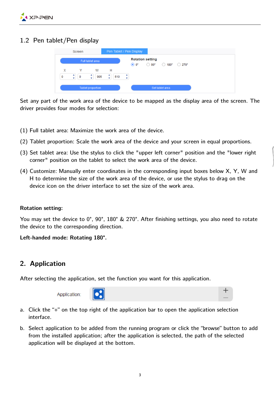

# 1.2 Pen tablet/Pen display



Set any part of the work area of the device to be mapped as the display area of the screen. The driver provides four modes for selection:

- (1) Full tablet area: Maximize the work area of the device.
- (2) Tablet proportion: Scale the work area of the device and your screen in equal proportions.
- (3) Set tablet area: Use the stylus to click the "upper left corner" position and the "lower right corner" position on the tablet to select the work area of the device.
- (4) Customize: Manually enter coordinates in the corresponding input boxes below X, Y, W and H to determine the size of the work area of the device, or use the stylus to drag on the device icon on the driver interface to set the size of the work area.

#### **Rotation setting:**

You may set the device to 0°, 90°, 180° & 270°. After finishing settings, you also need to rotate the device to the corresponding direction.

**Left-handed mode: Rotating 180°.**

# **2. Application**

After selecting the application, set the function you want for this application.

Application:



- a. Click the "+" on the top right of the application bar to open the application selection interface.
- b. Select application to be added from the running program or click the "browse" button to add from the installed application; after the application is selected, the path of the selected application will be displayed at the bottom.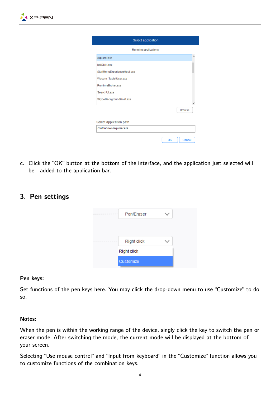

|                             | Select application   |  |               |  |
|-----------------------------|----------------------|--|---------------|--|
|                             | Running applications |  |               |  |
| explorer.exe                |                      |  |               |  |
| igfxEMN.exe                 |                      |  |               |  |
| StartMenuExperienceHost.exe |                      |  |               |  |
| Wacom_TabletUser.exe        |                      |  |               |  |
| RuntimeBroker exe           |                      |  |               |  |
| SearchUI exe                |                      |  |               |  |
| SkypeBackgroundHost.exe     |                      |  |               |  |
|                             |                      |  | <b>Browse</b> |  |
|                             |                      |  |               |  |
| Select application path     |                      |  |               |  |
| C:/Windows/explorer.exe     |                      |  |               |  |

c. Click the "OK" button at the bottom of the interface, and the application just selected will be added to the application bar.

# **3. Pen settings**

| Pen/Eraser         |  |
|--------------------|--|
|                    |  |
| <b>Right click</b> |  |
| <b>Right click</b> |  |
| Customize          |  |

#### **Pen keys:**

Set functions of the pen keys here. You may click the drop-down menu to use "Customize" to do so.

#### **Notes:**

When the pen is within the working range of the device, singly click the key to switch the pen or eraser mode. After switching the mode, the current mode will be displayed at the bottom of your screen.

Selecting "Use mouse control" and "Input from keyboard" in the "Customize" function allows you to customize functions of the combination keys.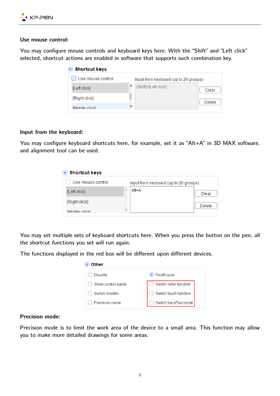

#### **Use mouse control:**

You may configure mouse controls and keyboard keys here. With the "Shift" and "Left click" selected, shortcut actions are enabled in software that supports such combination key.

| Shortcut keys            |   |                                       |               |
|--------------------------|---|---------------------------------------|---------------|
| $\vee$ Use mouse control |   | Input from keyboard (up to 20 groups) |               |
| [Left click]             |   | [Shift]+[Left click]                  | Clear         |
| [Right click]            |   |                                       | <b>Delete</b> |
| <b>Middle clickl</b>     | v |                                       |               |

#### **Input from the keyboard:**

You may configure keyboard shortcuts here, for example, set it as "Alt+A" in 3D MAX software, and alignment tool can be used.

| Shortcut keys        |               |                                       |               |
|----------------------|---------------|---------------------------------------|---------------|
| Use mouse control    |               | Input from keyboard (up to 20 groups) |               |
| [Left click]         |               | $Alt+A$                               | Clear         |
| [Right click]        |               |                                       | <b>Delete</b> |
| <b>Middle clickl</b> | $\mathcal{Q}$ |                                       |               |

You may set multiple sets of keyboard shortcuts here. When you press the button on the pen, all the shortcut functions you set will run again.

The functions displayed in the red box will be different upon different devices.

| Other              |                        |
|--------------------|------------------------|
| <b>Disable</b>     | ⊙ Pen/Eraser           |
| Show control panel | Switch roller function |
| Switch monitor     | Switch touch function  |
| Precision mode     | Switch trackPad mode   |

#### **Precision mode:**

Precision mode is to limit the work area of the device to a small area. This function may allow you to make more detailed drawings for some areas.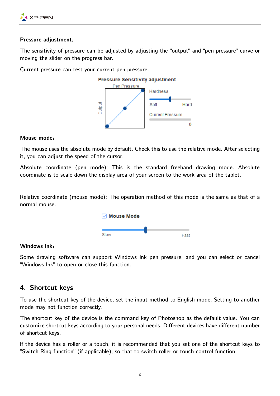

#### **Pressure adjustment**:

The sensitivity of pressure can be adjusted by adjusting the "output" and "pen pressure" curve or moving the slider on the progress bar.

Current pressure can test your current pen pressure.



#### **Mouse mode**:

The mouse uses the absolute mode by default. Check this to use the relative mode. After selecting it, you can adjust the speed of the cursor.

Absolute coordinate (pen mode): This is the standard freehand drawing mode. Absolute coordinate is to scale down the display area of your screen to the work area of the tablet.

Relative coordinate (mouse mode): The operation method of this mode is the same as that of a normal mouse.



#### **Windows Ink**:

Some drawing software can support Windows Ink pen pressure, and you can select or cancel "Windows Ink" to open or close this function.

# **4. Shortcut keys**

To use the shortcut key of the device, set the input method to English mode. Setting to another mode may not function correctly.

The shortcut key of the device is the command key of Photoshop as the default value. You can customize shortcut keys according to your personal needs. Different devices have different number of shortcut keys.

If the device has a roller or a touch, it is recommended that you set one of the shortcut keys to "Switch Ring function" (if applicable), so that to switch roller or touch control function.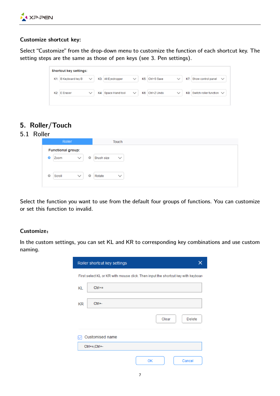

#### **Customize shortcut key:**

Select "Customize" from the drop-down menu to customize the function of each shortcut key. The setting steps are the same as those of pen keys (see 3. Pen settings).

| K1: B Keyboard key B | $\checkmark$ | K3: Alt Eyedropper  | $\checkmark$ | K5: Ctrl+S Save | $\checkmark$ | K7: Show control panel            | $\checkmark$ |
|----------------------|--------------|---------------------|--------------|-----------------|--------------|-----------------------------------|--------------|
| K2: E Eraser         | $\checkmark$ | K4: Space Hand tool | $\checkmark$ | K6: Ctrl+Z Undo |              | K8: Switch roller function $\vee$ |              |

# **5. Roller/Touch**

## 5.1 Roller

Select the function you want to use from the default four groups of functions. You can customize or set this function to invalid.

#### **Customize**:

In the custom settings, you can set KL and KR to corresponding key combinations and use custom naming.

| Roller shortcut key settings<br>x |                                                                                   |  |  |  |  |  |  |
|-----------------------------------|-----------------------------------------------------------------------------------|--|--|--|--|--|--|
|                                   | First select KL or KR with mouse click. Then input the shortcut key with keyboard |  |  |  |  |  |  |
| $Ctrl +=$<br>KL                   |                                                                                   |  |  |  |  |  |  |
| $Ctrl + -$<br>KR.                 |                                                                                   |  |  |  |  |  |  |
|                                   | Clear<br>Delete                                                                   |  |  |  |  |  |  |
| Customised name                   |                                                                                   |  |  |  |  |  |  |
| $Ctrl += CtrI + -$                |                                                                                   |  |  |  |  |  |  |
|                                   | OK<br>Cancel                                                                      |  |  |  |  |  |  |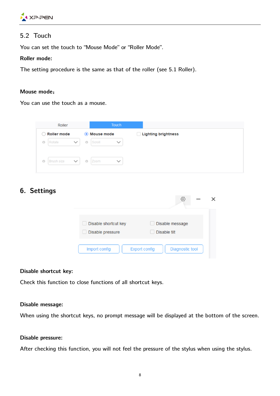

# 5.2 Touch

You can set the touch to "Mouse Mode" or "Roller Mode".

#### **Roller mode:**

The setting procedure is the same as that of the roller (see 5.1 Roller).

#### **Mouse mode**:

You can use the touch as a mouse.

| Roller  |                    | Touch        |         |              |              |                                 |
|---------|--------------------|--------------|---------|--------------|--------------|---------------------------------|
| 〔 〕     | <b>Roller mode</b> |              |         | ◉ Mouse mode |              | <b>Lighting brightness</b><br>L |
| $\circ$ | Rotate             | $\checkmark$ | $\circ$ | Scroll       | $\checkmark$ |                                 |
| $\circ$ | <b>Brush size</b>  | $\checkmark$ | $\circ$ | Zoom         | $\checkmark$ |                                 |

# **6. Settings**

|                                          | O)                                      |  |
|------------------------------------------|-----------------------------------------|--|
| Disable shortcut key<br>Disable pressure | Disable message<br>Disable tilt         |  |
| Import config                            | Diagnostic tool<br><b>Export config</b> |  |

#### **Disable shortcut key:**

Check this function to close functions of all shortcut keys.

#### **Disable message:**

When using the shortcut keys, no prompt message will be displayed at the bottom of the screen.

#### **Disable pressure:**

After checking this function, you will not feel the pressure of the stylus when using the stylus.